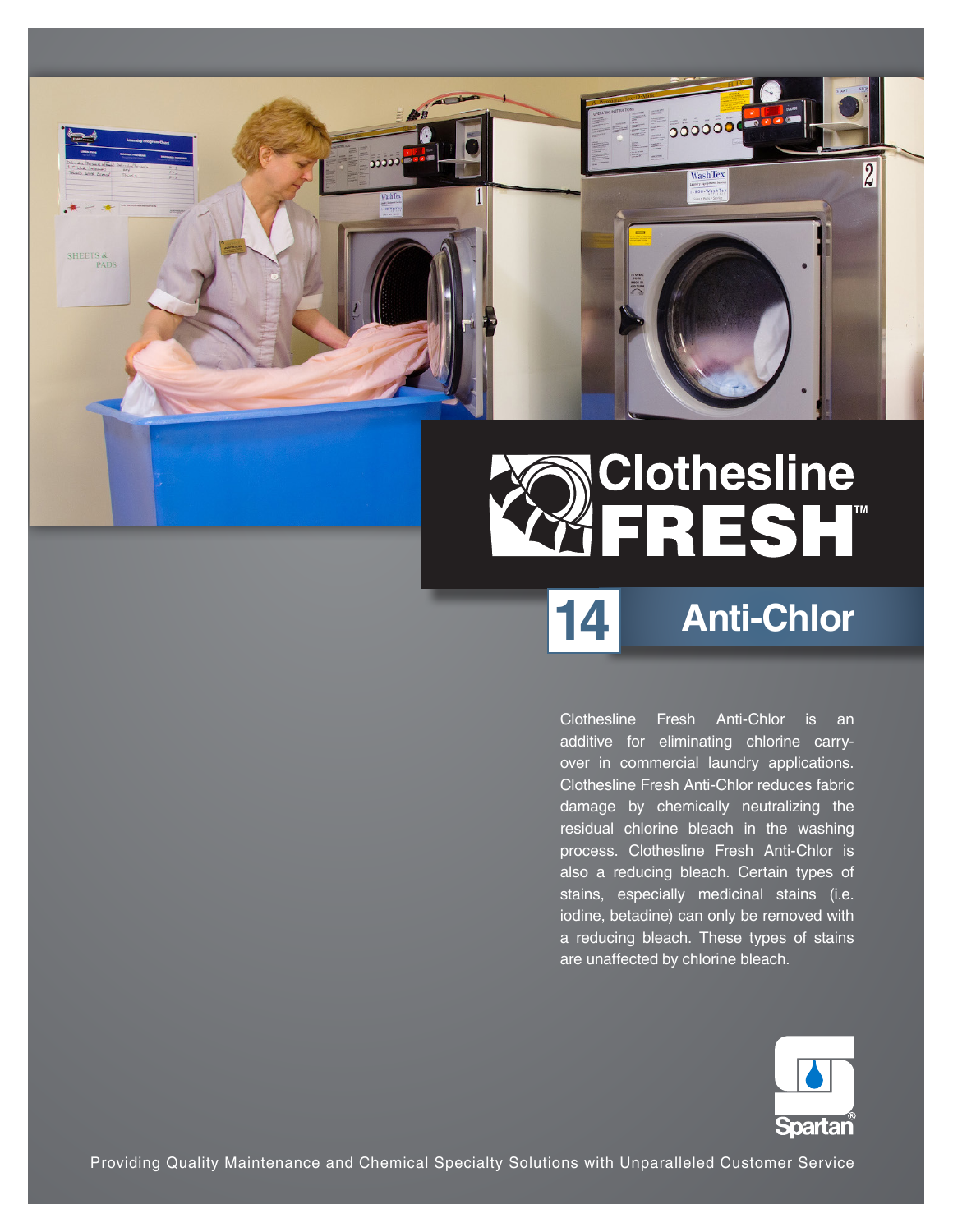

# **Clothesline<br>FRESH®**

## **Anti-Chlor**

**14**

Clothesline Fresh Anti-Chlor is an additive for eliminating chlorine carryover in commercial laundry applications. Clothesline Fresh Anti-Chlor reduces fabric damage by chemically neutralizing the residual chlorine bleach in the washing process. Clothesline Fresh Anti-Chlor is also a reducing bleach. Certain types of stains, especially medicinal stains (i.e. iodine, betadine) can only be removed with a reducing bleach. These types of stains are unaffected by chlorine bleach.



Providing Quality Maintenance and Chemical Specialty Solutions with Unparalleled Customer Service